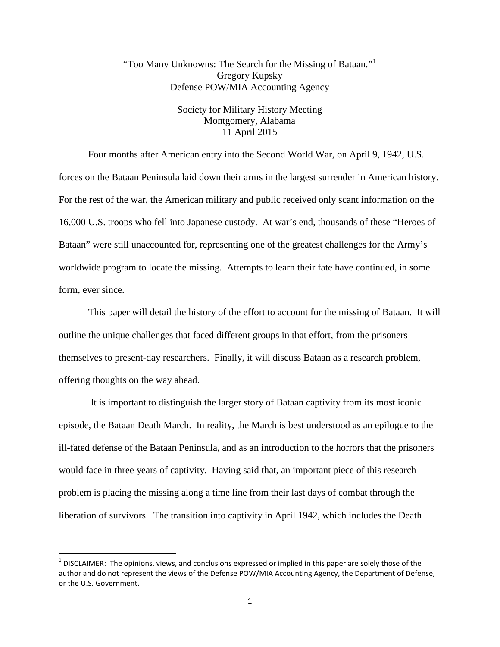# "Too Many Unknowns: The Search for the Missing of Bataan."[1](#page-0-0) Gregory Kupsky Defense POW/MIA Accounting Agency

## Society for Military History Meeting Montgomery, Alabama 11 April 2015

Four months after American entry into the Second World War, on April 9, 1942, U.S. forces on the Bataan Peninsula laid down their arms in the largest surrender in American history. For the rest of the war, the American military and public received only scant information on the 16,000 U.S. troops who fell into Japanese custody. At war's end, thousands of these "Heroes of Bataan" were still unaccounted for, representing one of the greatest challenges for the Army's worldwide program to locate the missing. Attempts to learn their fate have continued, in some form, ever since.

This paper will detail the history of the effort to account for the missing of Bataan. It will outline the unique challenges that faced different groups in that effort, from the prisoners themselves to present-day researchers. Finally, it will discuss Bataan as a research problem, offering thoughts on the way ahead.

It is important to distinguish the larger story of Bataan captivity from its most iconic episode, the Bataan Death March. In reality, the March is best understood as an epilogue to the ill-fated defense of the Bataan Peninsula, and as an introduction to the horrors that the prisoners would face in three years of captivity. Having said that, an important piece of this research problem is placing the missing along a time line from their last days of combat through the liberation of survivors. The transition into captivity in April 1942, which includes the Death

<span id="page-0-0"></span> $1$  DISCLAIMER: The opinions, views, and conclusions expressed or implied in this paper are solely those of the author and do not represent the views of the Defense POW/MIA Accounting Agency, the Department of Defense, or the U.S. Government.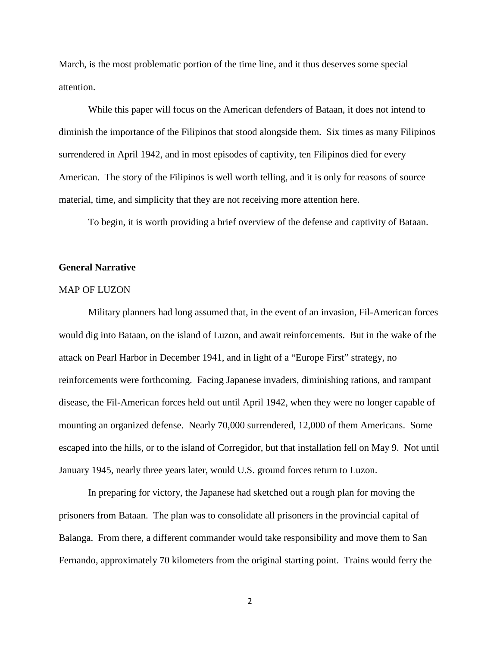March, is the most problematic portion of the time line, and it thus deserves some special attention.

While this paper will focus on the American defenders of Bataan, it does not intend to diminish the importance of the Filipinos that stood alongside them. Six times as many Filipinos surrendered in April 1942, and in most episodes of captivity, ten Filipinos died for every American. The story of the Filipinos is well worth telling, and it is only for reasons of source material, time, and simplicity that they are not receiving more attention here.

To begin, it is worth providing a brief overview of the defense and captivity of Bataan.

## **General Narrative**

#### MAP OF LUZON

Military planners had long assumed that, in the event of an invasion, Fil-American forces would dig into Bataan, on the island of Luzon, and await reinforcements. But in the wake of the attack on Pearl Harbor in December 1941, and in light of a "Europe First" strategy, no reinforcements were forthcoming. Facing Japanese invaders, diminishing rations, and rampant disease, the Fil-American forces held out until April 1942, when they were no longer capable of mounting an organized defense. Nearly 70,000 surrendered, 12,000 of them Americans. Some escaped into the hills, or to the island of Corregidor, but that installation fell on May 9. Not until January 1945, nearly three years later, would U.S. ground forces return to Luzon.

In preparing for victory, the Japanese had sketched out a rough plan for moving the prisoners from Bataan. The plan was to consolidate all prisoners in the provincial capital of Balanga. From there, a different commander would take responsibility and move them to San Fernando, approximately 70 kilometers from the original starting point. Trains would ferry the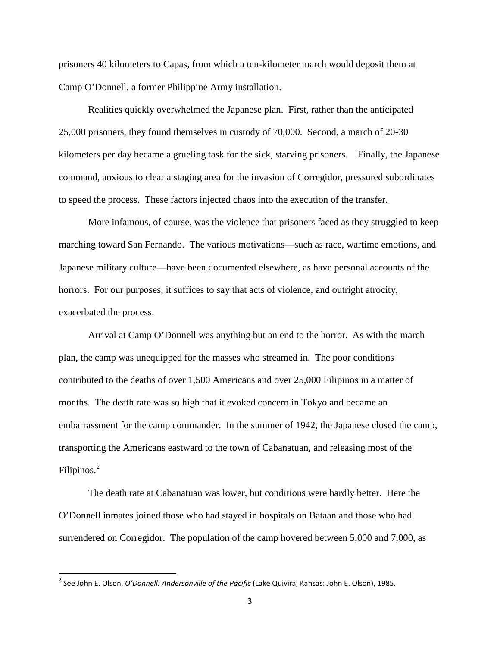prisoners 40 kilometers to Capas, from which a ten-kilometer march would deposit them at Camp O'Donnell, a former Philippine Army installation.

Realities quickly overwhelmed the Japanese plan. First, rather than the anticipated 25,000 prisoners, they found themselves in custody of 70,000. Second, a march of 20-30 kilometers per day became a grueling task for the sick, starving prisoners. Finally, the Japanese command, anxious to clear a staging area for the invasion of Corregidor, pressured subordinates to speed the process. These factors injected chaos into the execution of the transfer.

More infamous, of course, was the violence that prisoners faced as they struggled to keep marching toward San Fernando. The various motivations—such as race, wartime emotions, and Japanese military culture—have been documented elsewhere, as have personal accounts of the horrors. For our purposes, it suffices to say that acts of violence, and outright atrocity, exacerbated the process.

Arrival at Camp O'Donnell was anything but an end to the horror. As with the march plan, the camp was unequipped for the masses who streamed in. The poor conditions contributed to the deaths of over 1,500 Americans and over 25,000 Filipinos in a matter of months. The death rate was so high that it evoked concern in Tokyo and became an embarrassment for the camp commander. In the summer of 1942, the Japanese closed the camp, transporting the Americans eastward to the town of Cabanatuan, and releasing most of the Filipinos.<sup>[2](#page-2-0)</sup>

The death rate at Cabanatuan was lower, but conditions were hardly better. Here the O'Donnell inmates joined those who had stayed in hospitals on Bataan and those who had surrendered on Corregidor. The population of the camp hovered between 5,000 and 7,000, as

<span id="page-2-0"></span> <sup>2</sup> See John E. Olson, *O'Donnell: Andersonville of the Pacific* (Lake Quivira, Kansas: John E. Olson), 1985.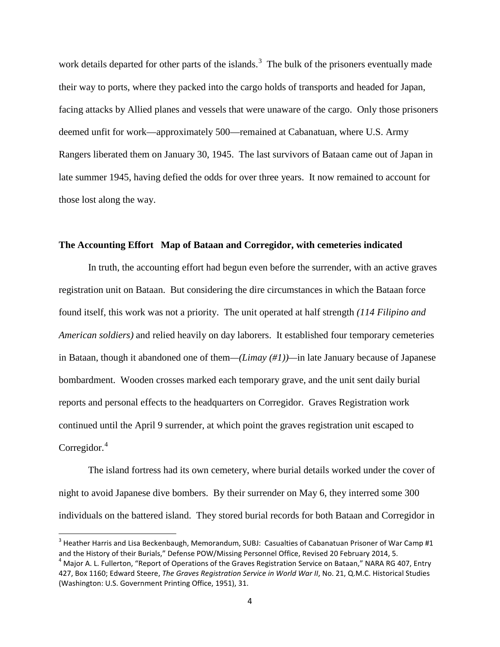work details departed for other parts of the islands.<sup>[3](#page-3-0)</sup> The bulk of the prisoners eventually made their way to ports, where they packed into the cargo holds of transports and headed for Japan, facing attacks by Allied planes and vessels that were unaware of the cargo. Only those prisoners deemed unfit for work—approximately 500—remained at Cabanatuan, where U.S. Army Rangers liberated them on January 30, 1945. The last survivors of Bataan came out of Japan in late summer 1945, having defied the odds for over three years. It now remained to account for those lost along the way.

### **The Accounting Effort Map of Bataan and Corregidor, with cemeteries indicated**

In truth, the accounting effort had begun even before the surrender, with an active graves registration unit on Bataan. But considering the dire circumstances in which the Bataan force found itself, this work was not a priority. The unit operated at half strength *(114 Filipino and American soldiers)* and relied heavily on day laborers. It established four temporary cemeteries in Bataan, though it abandoned one of them*—(Limay (#1))—*in late January because of Japanese bombardment. Wooden crosses marked each temporary grave, and the unit sent daily burial reports and personal effects to the headquarters on Corregidor. Graves Registration work continued until the April 9 surrender, at which point the graves registration unit escaped to Corregidor.<sup>[4](#page-3-1)</sup>

The island fortress had its own cemetery, where burial details worked under the cover of night to avoid Japanese dive bombers. By their surrender on May 6, they interred some 300 individuals on the battered island. They stored burial records for both Bataan and Corregidor in

<span id="page-3-0"></span> $3$  Heather Harris and Lisa Beckenbaugh, Memorandum, SUBJ: Casualties of Cabanatuan Prisoner of War Camp #1 and the History of their Burials," Defense POW/Missing Personnel Office, Revised 20 February 2014, 5.<br><sup>4</sup> Major A. L. Fullerton, "Report of Operations of the Graves Registration Service on Bataan," NARA RG 407, Entry

<span id="page-3-1"></span><sup>427,</sup> Box 1160; Edward Steere, *The Graves Registration Service in World War II*, No. 21, Q.M.C. Historical Studies (Washington: U.S. Government Printing Office, 1951), 31.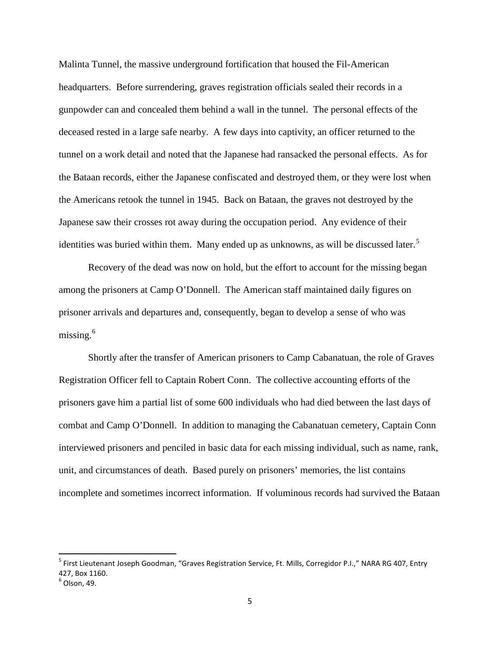Malinta Tunnel, the massive underground fortification that housed the Fil-American headquarters. Before surrendering, graves registration officials sealed their records in a gunpowder can and concealed them behind a wall in the tunnel. The personal effects of the deceased rested in a large safe nearby. A few days into captivity, an officer returned to the tunnel on a work detail and noted that the Japanese had ransacked the personal effects. As for the Bataan records, either the Japanese confiscated and destroyed them, or they were lost when the Americans retook the tunnel in 1945. Back on Bataan, the graves not destroyed by the Japanese saw their crosses rot away during the occupation period. Any evidence of their identities was buried within them. Many ended up as unknowns, as will be discussed later.<sup>[5](#page-4-0)</sup>

Recovery of the dead was now on hold, but the effort to account for the missing began among the prisoners at Camp O'Donnell. The American staff maintained daily figures on prisoner arrivals and departures and, consequently, began to develop a sense of who was missing. [6](#page-4-1)

Shortly after the transfer of American prisoners to Camp Cabanatuan, the role of Graves Registration Officer fell to Captain Robert Conn. The collective accounting efforts of the prisoners gave him a partial list of some 600 individuals who had died between the last days of combat and Camp O'Donnell. In addition to managing the Cabanatuan cemetery, Captain Conn interviewed prisoners and penciled in basic data for each missing individual, such as name, rank, unit, and circumstances of death. Based purely on prisoners' memories, the list contains incomplete and sometimes incorrect information. If voluminous records had survived the Bataan

<span id="page-4-0"></span><sup>&</sup>lt;sup>5</sup> First Lieutenant Joseph Goodman, "Graves Registration Service, Ft. Mills, Corregidor P.I.," NARA RG 407, Entry 427, Box 1160.

<span id="page-4-1"></span> $6$  Olson, 49.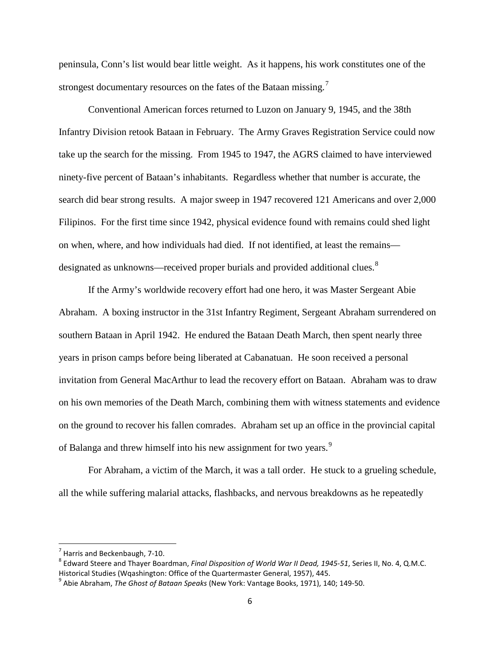peninsula, Conn's list would bear little weight. As it happens, his work constitutes one of the strongest documentary resources on the fates of the Bataan missing.<sup>[7](#page-5-0)</sup>

Conventional American forces returned to Luzon on January 9, 1945, and the 38th Infantry Division retook Bataan in February. The Army Graves Registration Service could now take up the search for the missing. From 1945 to 1947, the AGRS claimed to have interviewed ninety-five percent of Bataan's inhabitants. Regardless whether that number is accurate, the search did bear strong results. A major sweep in 1947 recovered 121 Americans and over 2,000 Filipinos. For the first time since 1942, physical evidence found with remains could shed light on when, where, and how individuals had died. If not identified, at least the remains— designated as unknowns—received proper burials and provided additional clues.<sup>[8](#page-5-1)</sup>

If the Army's worldwide recovery effort had one hero, it was Master Sergeant Abie Abraham. A boxing instructor in the 31st Infantry Regiment, Sergeant Abraham surrendered on southern Bataan in April 1942. He endured the Bataan Death March, then spent nearly three years in prison camps before being liberated at Cabanatuan. He soon received a personal invitation from General MacArthur to lead the recovery effort on Bataan. Abraham was to draw on his own memories of the Death March, combining them with witness statements and evidence on the ground to recover his fallen comrades. Abraham set up an office in the provincial capital of Balanga and threw himself into his new assignment for two years.<sup>[9](#page-5-2)</sup>

For Abraham, a victim of the March, it was a tall order. He stuck to a grueling schedule, all the while suffering malarial attacks, flashbacks, and nervous breakdowns as he repeatedly

<span id="page-5-1"></span><span id="page-5-0"></span><sup>&</sup>lt;sup>7</sup> Harris and Beckenbaugh, 7-10.<br><sup>8</sup> Edward Steere and Thayer Boardman, *Final Disposition of World War II Dead, 1945-51*, Series II, No. 4, Q.M.C.<br>Historical Studies (Wgashington: Office of the Quartermaster General, 195

<span id="page-5-2"></span><sup>&</sup>lt;sup>9</sup> Abie Abraham, *The Ghost of Bataan Speaks* (New York: Vantage Books, 1971), 140; 149-50.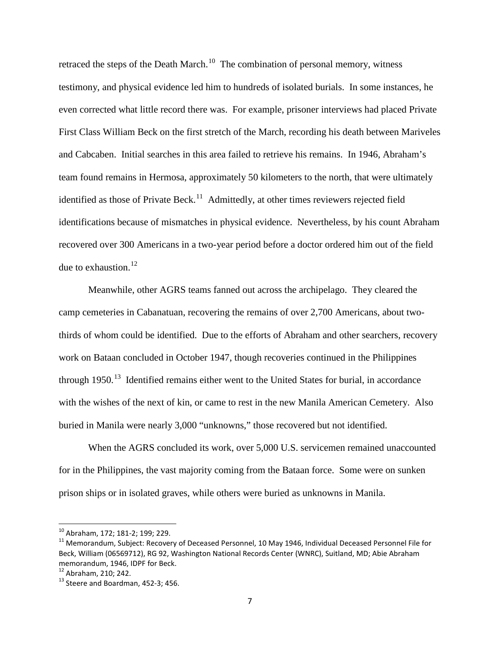retraced the steps of the Death March.<sup>10</sup> The combination of personal memory, witness testimony, and physical evidence led him to hundreds of isolated burials. In some instances, he even corrected what little record there was. For example, prisoner interviews had placed Private First Class William Beck on the first stretch of the March, recording his death between Mariveles and Cabcaben. Initial searches in this area failed to retrieve his remains. In 1946, Abraham's team found remains in Hermosa, approximately 50 kilometers to the north, that were ultimately identified as those of Private Beck.<sup>11</sup> Admittedly, at other times reviewers rejected field identifications because of mismatches in physical evidence. Nevertheless, by his count Abraham recovered over 300 Americans in a two-year period before a doctor ordered him out of the field due to exhaustion. $^{12}$  $^{12}$  $^{12}$ 

Meanwhile, other AGRS teams fanned out across the archipelago. They cleared the camp cemeteries in Cabanatuan, recovering the remains of over 2,700 Americans, about twothirds of whom could be identified. Due to the efforts of Abraham and other searchers, recovery work on Bataan concluded in October 1947, though recoveries continued in the Philippines through  $1950$ .<sup>13</sup> Identified remains either went to the United States for burial, in accordance with the wishes of the next of kin, or came to rest in the new Manila American Cemetery. Also buried in Manila were nearly 3,000 "unknowns," those recovered but not identified.

When the AGRS concluded its work, over 5,000 U.S. servicemen remained unaccounted for in the Philippines, the vast majority coming from the Bataan force. Some were on sunken prison ships or in isolated graves, while others were buried as unknowns in Manila.

<span id="page-6-1"></span><span id="page-6-0"></span><sup>&</sup>lt;sup>10</sup> Abraham, 172; 181-2; 199; 229.<br><sup>11</sup> Memorandum, Subject: Recovery of Deceased Personnel, 10 May 1946, Individual Deceased Personnel File for Beck, William (06569712), RG 92, Washington National Records Center (WNRC), Suitland, MD; Abie Abraham memorandum, 1946, IDPF for Beck.<br><sup>12</sup> Abraham, 210; 242.

<span id="page-6-2"></span>

<span id="page-6-3"></span> $13$  Steere and Boardman, 452-3; 456.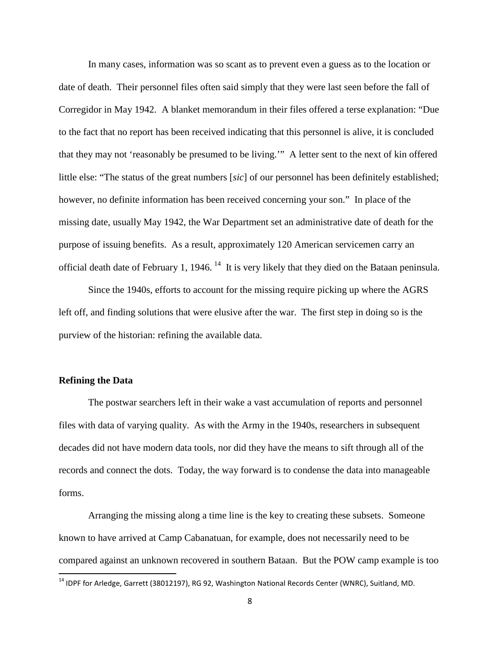In many cases, information was so scant as to prevent even a guess as to the location or date of death. Their personnel files often said simply that they were last seen before the fall of Corregidor in May 1942. A blanket memorandum in their files offered a terse explanation: "Due to the fact that no report has been received indicating that this personnel is alive, it is concluded that they may not 'reasonably be presumed to be living.'" A letter sent to the next of kin offered little else: "The status of the great numbers [*sic*] of our personnel has been definitely established; however, no definite information has been received concerning your son." In place of the missing date, usually May 1942, the War Department set an administrative date of death for the purpose of issuing benefits. As a result, approximately 120 American servicemen carry an official death date of February 1, 1946.<sup>14</sup> It is very likely that they died on the Bataan peninsula.

Since the 1940s, efforts to account for the missing require picking up where the AGRS left off, and finding solutions that were elusive after the war. The first step in doing so is the purview of the historian: refining the available data.

## **Refining the Data**

The postwar searchers left in their wake a vast accumulation of reports and personnel files with data of varying quality. As with the Army in the 1940s, researchers in subsequent decades did not have modern data tools, nor did they have the means to sift through all of the records and connect the dots. Today, the way forward is to condense the data into manageable forms.

Arranging the missing along a time line is the key to creating these subsets. Someone known to have arrived at Camp Cabanatuan, for example, does not necessarily need to be compared against an unknown recovered in southern Bataan. But the POW camp example is too

<span id="page-7-0"></span><sup>&</sup>lt;sup>14</sup> IDPF for Arledge, Garrett (38012197), RG 92, Washington National Records Center (WNRC), Suitland, MD.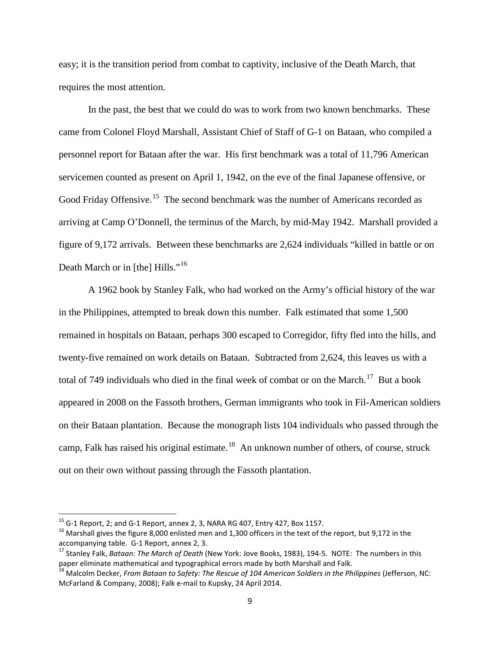easy; it is the transition period from combat to captivity, inclusive of the Death March, that requires the most attention.

In the past, the best that we could do was to work from two known benchmarks. These came from Colonel Floyd Marshall, Assistant Chief of Staff of G-1 on Bataan, who compiled a personnel report for Bataan after the war. His first benchmark was a total of 11,796 American servicemen counted as present on April 1, 1942, on the eve of the final Japanese offensive, or Good Friday Offensive.<sup>[15](#page-8-0)</sup> The second benchmark was the number of Americans recorded as arriving at Camp O'Donnell, the terminus of the March, by mid-May 1942. Marshall provided a figure of 9,172 arrivals. Between these benchmarks are 2,624 individuals "killed in battle or on Death March or in [the] Hills."<sup>[16](#page-8-1)</sup>

A 1962 book by Stanley Falk, who had worked on the Army's official history of the war in the Philippines, attempted to break down this number. Falk estimated that some 1,500 remained in hospitals on Bataan, perhaps 300 escaped to Corregidor, fifty fled into the hills, and twenty-five remained on work details on Bataan. Subtracted from 2,624, this leaves us with a total of 749 individuals who died in the final week of combat or on the March.<sup>[17](#page-8-2)</sup> But a book appeared in 2008 on the Fassoth brothers, German immigrants who took in Fil-American soldiers on their Bataan plantation. Because the monograph lists 104 individuals who passed through the camp, Falk has raised his original estimate.<sup>[18](#page-8-3)</sup> An unknown number of others, of course, struck out on their own without passing through the Fassoth plantation.

<span id="page-8-1"></span><span id="page-8-0"></span><sup>&</sup>lt;sup>15</sup> G-1 Report, 2; and G-1 Report, annex 2, 3, NARA RG 407, Entry 427, Box 1157.<br><sup>16</sup> Marshall gives the figure 8,000 enlisted men and 1,300 officers in the text of the report, but 9,172 in the accompanying table. G-1 Re

<span id="page-8-2"></span><sup>&</sup>lt;sup>17</sup> Stanley Falk, *Bataan: The March of Death* (New York: Jove Books, 1983), 194-5. NOTE: The numbers in this paper eliminate mathematical and typographical errors made by both Marshall and Falk.

<span id="page-8-3"></span><sup>18</sup> Malcolm Decker, *From Bataan to Safety: The Rescue of 104 American Soldiers in the Philippines* (Jefferson, NC: McFarland & Company, 2008); Falk e-mail to Kupsky, 24 April 2014.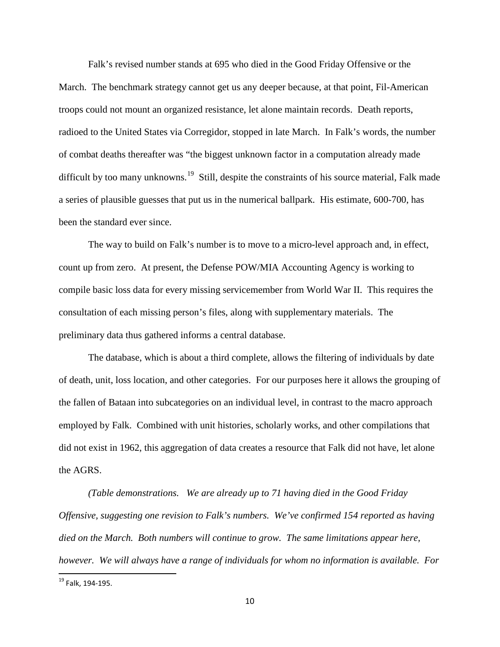Falk's revised number stands at 695 who died in the Good Friday Offensive or the March. The benchmark strategy cannot get us any deeper because, at that point, Fil-American troops could not mount an organized resistance, let alone maintain records. Death reports, radioed to the United States via Corregidor, stopped in late March. In Falk's words, the number of combat deaths thereafter was "the biggest unknown factor in a computation already made difficult by too many unknowns.<sup>19</sup> Still, despite the constraints of his source material, Falk made a series of plausible guesses that put us in the numerical ballpark. His estimate, 600-700, has been the standard ever since.

The way to build on Falk's number is to move to a micro-level approach and, in effect, count up from zero. At present, the Defense POW/MIA Accounting Agency is working to compile basic loss data for every missing servicemember from World War II. This requires the consultation of each missing person's files, along with supplementary materials. The preliminary data thus gathered informs a central database.

The database, which is about a third complete, allows the filtering of individuals by date of death, unit, loss location, and other categories. For our purposes here it allows the grouping of the fallen of Bataan into subcategories on an individual level, in contrast to the macro approach employed by Falk. Combined with unit histories, scholarly works, and other compilations that did not exist in 1962, this aggregation of data creates a resource that Falk did not have, let alone the AGRS.

*(Table demonstrations. We are already up to 71 having died in the Good Friday Offensive, suggesting one revision to Falk's numbers. We've confirmed 154 reported as having died on the March. Both numbers will continue to grow. The same limitations appear here, however. We will always have a range of individuals for whom no information is available. For* 

<span id="page-9-0"></span> <sup>19</sup> Falk, 194-195.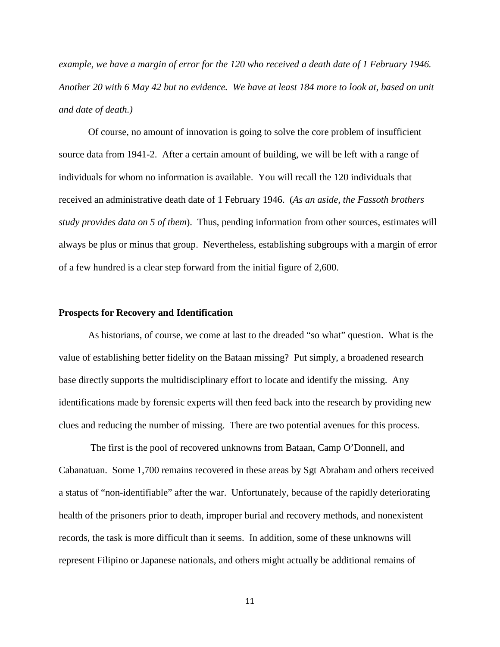*example, we have a margin of error for the 120 who received a death date of 1 February 1946. Another 20 with 6 May 42 but no evidence. We have at least 184 more to look at, based on unit and date of death.)*

Of course, no amount of innovation is going to solve the core problem of insufficient source data from 1941-2. After a certain amount of building, we will be left with a range of individuals for whom no information is available. You will recall the 120 individuals that received an administrative death date of 1 February 1946. (*As an aside, the Fassoth brothers study provides data on 5 of them*). Thus, pending information from other sources, estimates will always be plus or minus that group. Nevertheless, establishing subgroups with a margin of error of a few hundred is a clear step forward from the initial figure of 2,600.

#### **Prospects for Recovery and Identification**

As historians, of course, we come at last to the dreaded "so what" question. What is the value of establishing better fidelity on the Bataan missing? Put simply, a broadened research base directly supports the multidisciplinary effort to locate and identify the missing. Any identifications made by forensic experts will then feed back into the research by providing new clues and reducing the number of missing. There are two potential avenues for this process.

The first is the pool of recovered unknowns from Bataan, Camp O'Donnell, and Cabanatuan. Some 1,700 remains recovered in these areas by Sgt Abraham and others received a status of "non-identifiable" after the war. Unfortunately, because of the rapidly deteriorating health of the prisoners prior to death, improper burial and recovery methods, and nonexistent records, the task is more difficult than it seems. In addition, some of these unknowns will represent Filipino or Japanese nationals, and others might actually be additional remains of

11